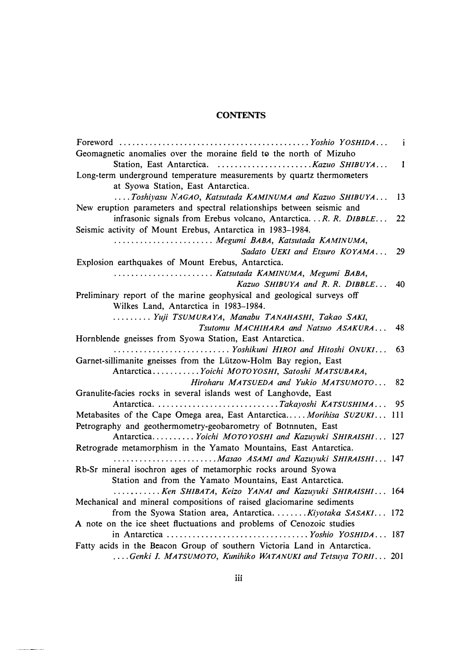## **CONTENTS**

|                                                                          | $\mathbf{i}$ |
|--------------------------------------------------------------------------|--------------|
| Geomagnetic anomalies over the moraine field to the north of Mizuho      |              |
|                                                                          | $\mathbf{1}$ |
| Long-term underground temperature measurements by quartz thermometers    |              |
| at Syowa Station, East Antarctica.                                       |              |
| Toshiyasu NAGAO, Katsutada KAMINUMA and Kazuo SHIBUYA                    | 13           |
| New eruption parameters and spectral relationships between seismic and   |              |
| infrasonic signals from Erebus volcano, Antarctica.  R. R. DIBBLE        | 22           |
| Seismic activity of Mount Erebus, Antarctica in 1983-1984.               |              |
| Megumi BABA, Katsutada KAMINUMA,                                         |              |
| Sadato UEKI and Etsuro KOYAMA                                            | 29           |
| Explosion earthquakes of Mount Erebus, Antarctica.                       |              |
| Katsutada KAMINUMA, Megumi BABA,                                         |              |
| Kazuo SHIBUYA and R. R. DIBBLE                                           | 40           |
| Preliminary report of the marine geophysical and geological surveys off  |              |
| Wilkes Land, Antarctica in 1983-1984.                                    |              |
| Yuji TSUMURAYA, Manabu TANAHASHI, Takao SAKI,                            |              |
| Tsutomu MACHIHARA and Natsuo ASAKURA                                     | 48           |
| Hornblende gneisses from Syowa Station, East Antarctica.                 |              |
| Yoshikuni HIROI and Hitoshi ONUKI                                        | 63           |
| Garnet-sillimanite gneisses from the Lützow-Holm Bay region, East        |              |
| Antarctica Yoichi MOTOYOSHI, Satoshi MATSUBARA,                          |              |
| Hiroharu MATSUEDA and Yukio MATSUMOTO                                    | 82           |
| Granulite-facies rocks in several islands west of Langhovde, East        |              |
|                                                                          | 95           |
| Metabasites of the Cape Omega area, East Antarctica Morihisa SUZUKI 111  |              |
| Petrography and geothermometry-geobarometry of Botnnuten, East           |              |
| Antarctica Yoichi MOTOYOSHI and Kazuyuki SHIRAISHI 127                   |              |
| Retrograde metamorphism in the Yamato Mountains, East Antarctica.        |              |
|                                                                          |              |
| Rb-Sr mineral isochron ages of metamorphic rocks around Syowa            |              |
| Station and from the Yamato Mountains, East Antarctica.                  |              |
| Ken SHIBATA, Keizo YANAI and Kazuyuki SHIRAISHI 164                      |              |
| Mechanical and mineral compositions of raised glaciomarine sediments     |              |
| from the Syowa Station area, Antarctica.  Kiyotaka SASAKI 172            |              |
| A note on the ice sheet fluctuations and problems of Cenozoic studies    |              |
|                                                                          |              |
| Fatty acids in the Beacon Group of southern Victoria Land in Antarctica. |              |
| Genki I. MATSUMOTO, Kunihiko WATANUKI and Tetsuya TORII 201              |              |